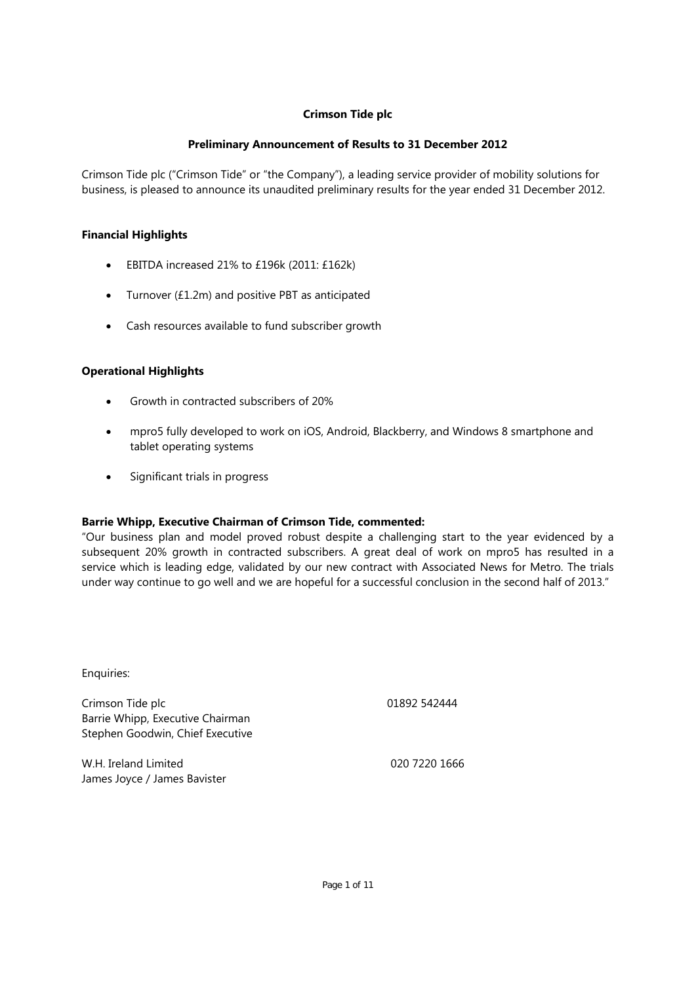### **Preliminary Announcement of Results to 31 December 2012**

Crimson Tide plc ("Crimson Tide" or "the Company"), a leading service provider of mobility solutions for business, is pleased to announce its unaudited preliminary results for the year ended 31 December 2012.

### **Financial Highlights**

- **EBITDA** increased 21% to £196k (2011: £162k)
- Turnover (£1.2m) and positive PBT as anticipated
- Cash resources available to fund subscriber growth

### **Operational Highlights**

- Growth in contracted subscribers of 20%
- mpro5 fully developed to work on iOS, Android, Blackberry, and Windows 8 smartphone and tablet operating systems
- Significant trials in progress

### **Barrie Whipp, Executive Chairman of Crimson Tide, commented:**

"Our business plan and model proved robust despite a challenging start to the year evidenced by a subsequent 20% growth in contracted subscribers. A great deal of work on mpro5 has resulted in a service which is leading edge, validated by our new contract with Associated News for Metro. The trials under way continue to go well and we are hopeful for a successful conclusion in the second half of 2013."

Enquiries:

Crimson Tide plc Barrie Whipp, Executive Chairman Stephen Goodwin, Chief Executive 01892 542444

W.H. Ireland Limited James Joyce / James Bavister 020 7220 1666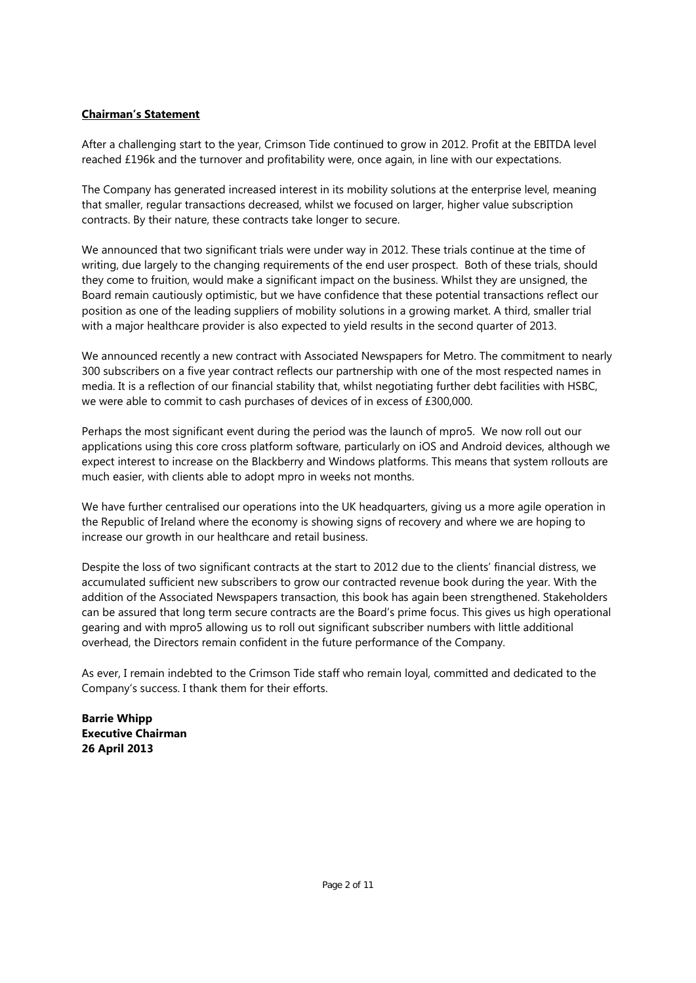### **Chairman's Statement**

After a challenging start to the year, Crimson Tide continued to grow in 2012. Profit at the EBITDA level reached £196k and the turnover and profitability were, once again, in line with our expectations.

The Company has generated increased interest in its mobility solutions at the enterprise level, meaning that smaller, regular transactions decreased, whilst we focused on larger, higher value subscription contracts. By their nature, these contracts take longer to secure.

We announced that two significant trials were under way in 2012. These trials continue at the time of writing, due largely to the changing requirements of the end user prospect. Both of these trials, should they come to fruition, would make a significant impact on the business. Whilst they are unsigned, the Board remain cautiously optimistic, but we have confidence that these potential transactions reflect our position as one of the leading suppliers of mobility solutions in a growing market. A third, smaller trial with a major healthcare provider is also expected to yield results in the second quarter of 2013.

We announced recently a new contract with Associated Newspapers for Metro. The commitment to nearly 300 subscribers on a five year contract reflects our partnership with one of the most respected names in media. It is a reflection of our financial stability that, whilst negotiating further debt facilities with HSBC, we were able to commit to cash purchases of devices of in excess of £300,000.

Perhaps the most significant event during the period was the launch of mpro5. We now roll out our applications using this core cross platform software, particularly on iOS and Android devices, although we expect interest to increase on the Blackberry and Windows platforms. This means that system rollouts are much easier, with clients able to adopt mpro in weeks not months.

We have further centralised our operations into the UK headquarters, giving us a more agile operation in the Republic of Ireland where the economy is showing signs of recovery and where we are hoping to increase our growth in our healthcare and retail business.

Despite the loss of two significant contracts at the start to 2012 due to the clients' financial distress, we accumulated sufficient new subscribers to grow our contracted revenue book during the year. With the addition of the Associated Newspapers transaction, this book has again been strengthened. Stakeholders can be assured that long term secure contracts are the Board's prime focus. This gives us high operational gearing and with mpro5 allowing us to roll out significant subscriber numbers with little additional overhead, the Directors remain confident in the future performance of the Company.

As ever, I remain indebted to the Crimson Tide staff who remain loyal, committed and dedicated to the Company's success. I thank them for their efforts.

**Barrie Whipp Executive Chairman 26 April 2013**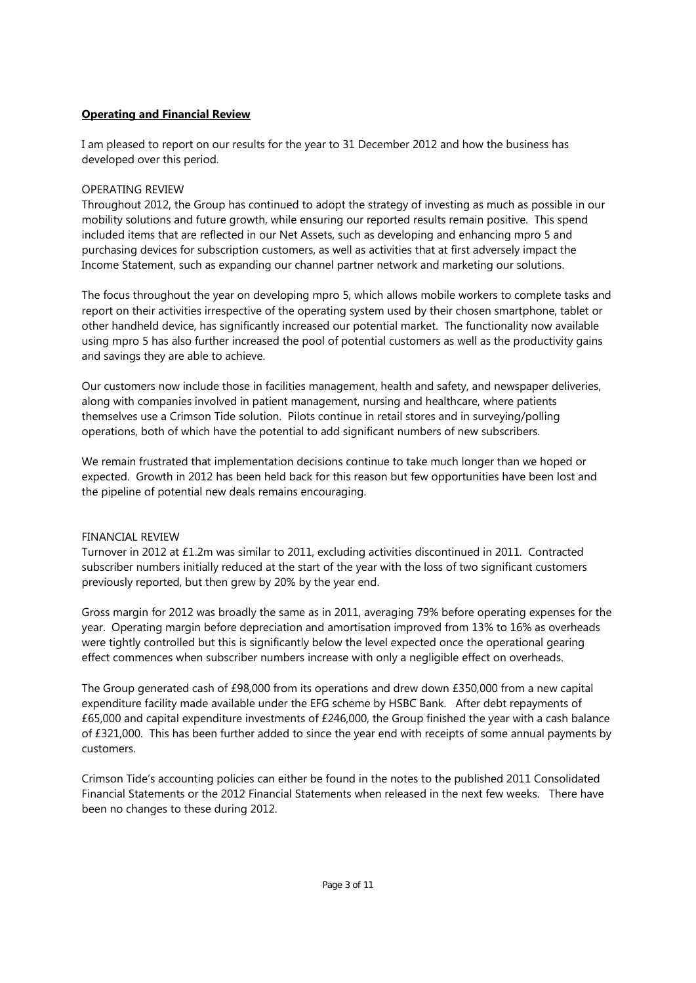### **Operating and Financial Review**

I am pleased to report on our results for the year to 31 December 2012 and how the business has developed over this period.

### OPERATING REVIEW

Throughout 2012, the Group has continued to adopt the strategy of investing as much as possible in our mobility solutions and future growth, while ensuring our reported results remain positive. This spend included items that are reflected in our Net Assets, such as developing and enhancing mpro 5 and purchasing devices for subscription customers, as well as activities that at first adversely impact the Income Statement, such as expanding our channel partner network and marketing our solutions.

The focus throughout the year on developing mpro 5, which allows mobile workers to complete tasks and report on their activities irrespective of the operating system used by their chosen smartphone, tablet or other handheld device, has significantly increased our potential market. The functionality now available using mpro 5 has also further increased the pool of potential customers as well as the productivity gains and savings they are able to achieve.

Our customers now include those in facilities management, health and safety, and newspaper deliveries, along with companies involved in patient management, nursing and healthcare, where patients themselves use a Crimson Tide solution. Pilots continue in retail stores and in surveying/polling operations, both of which have the potential to add significant numbers of new subscribers.

We remain frustrated that implementation decisions continue to take much longer than we hoped or expected. Growth in 2012 has been held back for this reason but few opportunities have been lost and the pipeline of potential new deals remains encouraging.

### FINANCIAL REVIEW

Turnover in 2012 at £1.2m was similar to 2011, excluding activities discontinued in 2011. Contracted subscriber numbers initially reduced at the start of the year with the loss of two significant customers previously reported, but then grew by 20% by the year end.

Gross margin for 2012 was broadly the same as in 2011, averaging 79% before operating expenses for the year. Operating margin before depreciation and amortisation improved from 13% to 16% as overheads were tightly controlled but this is significantly below the level expected once the operational gearing effect commences when subscriber numbers increase with only a negligible effect on overheads.

The Group generated cash of £98,000 from its operations and drew down £350,000 from a new capital expenditure facility made available under the EFG scheme by HSBC Bank. After debt repayments of £65,000 and capital expenditure investments of £246,000, the Group finished the year with a cash balance of £321,000. This has been further added to since the year end with receipts of some annual payments by customers.

Crimson Tide's accounting policies can either be found in the notes to the published 2011 Consolidated Financial Statements or the 2012 Financial Statements when released in the next few weeks. There have been no changes to these during 2012.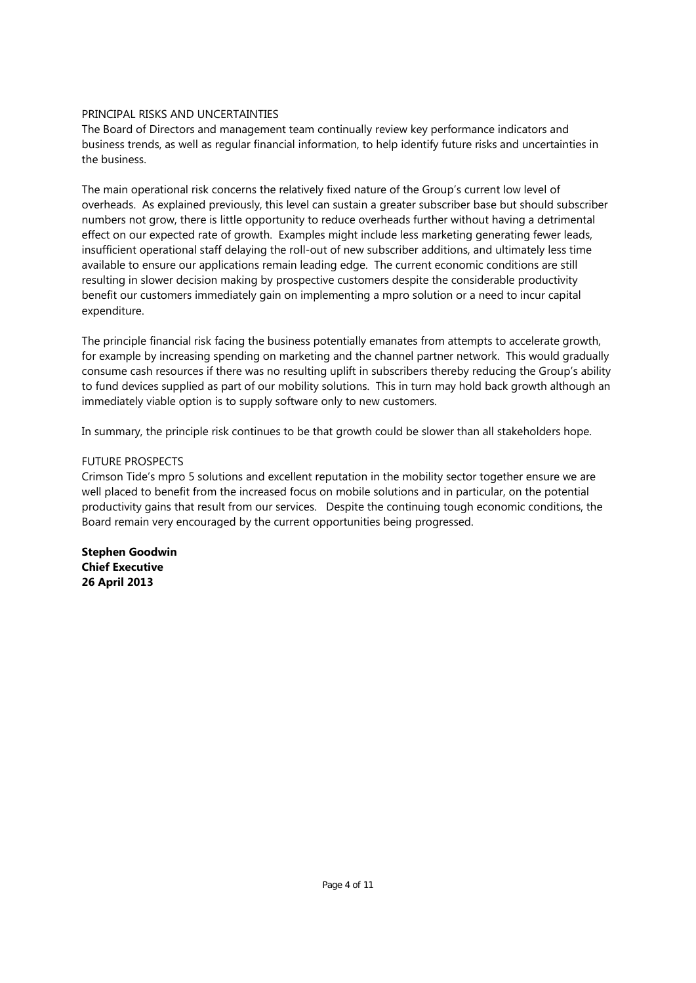### PRINCIPAL RISKS AND UNCERTAINTIES

The Board of Directors and management team continually review key performance indicators and business trends, as well as regular financial information, to help identify future risks and uncertainties in the business.

The main operational risk concerns the relatively fixed nature of the Group's current low level of overheads. As explained previously, this level can sustain a greater subscriber base but should subscriber numbers not grow, there is little opportunity to reduce overheads further without having a detrimental effect on our expected rate of growth. Examples might include less marketing generating fewer leads, insufficient operational staff delaying the roll-out of new subscriber additions, and ultimately less time available to ensure our applications remain leading edge. The current economic conditions are still resulting in slower decision making by prospective customers despite the considerable productivity benefit our customers immediately gain on implementing a mpro solution or a need to incur capital expenditure.

The principle financial risk facing the business potentially emanates from attempts to accelerate growth, for example by increasing spending on marketing and the channel partner network. This would gradually consume cash resources if there was no resulting uplift in subscribers thereby reducing the Group's ability to fund devices supplied as part of our mobility solutions. This in turn may hold back growth although an immediately viable option is to supply software only to new customers.

In summary, the principle risk continues to be that growth could be slower than all stakeholders hope.

### FUTURE PROSPECTS

Crimson Tide's mpro 5 solutions and excellent reputation in the mobility sector together ensure we are well placed to benefit from the increased focus on mobile solutions and in particular, on the potential productivity gains that result from our services. Despite the continuing tough economic conditions, the Board remain very encouraged by the current opportunities being progressed.

**Stephen Goodwin Chief Executive 26 April 2013**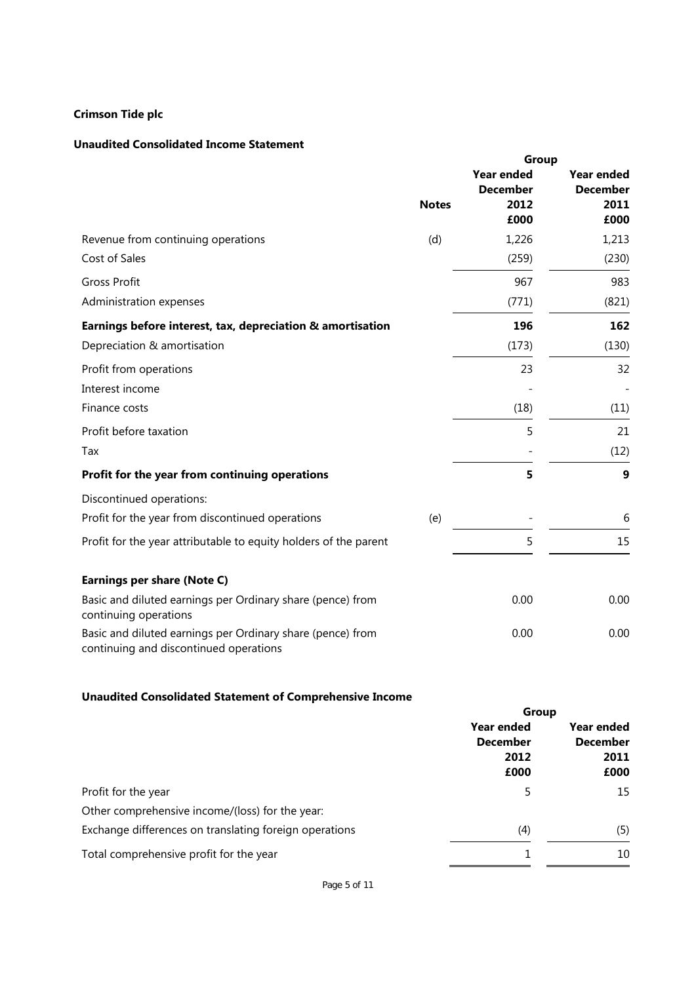### **Unaudited Consolidated Income Statement**

|                                                                                                      | Group        |                                      |                                      |
|------------------------------------------------------------------------------------------------------|--------------|--------------------------------------|--------------------------------------|
|                                                                                                      |              | <b>Year ended</b><br><b>December</b> | <b>Year ended</b><br><b>December</b> |
|                                                                                                      | <b>Notes</b> | 2012<br>£000                         | 2011<br>£000                         |
| Revenue from continuing operations                                                                   | (d)          | 1,226                                | 1,213                                |
| Cost of Sales                                                                                        |              | (259)                                | (230)                                |
| <b>Gross Profit</b>                                                                                  |              | 967                                  | 983                                  |
| Administration expenses                                                                              |              | (771)                                | (821)                                |
| Earnings before interest, tax, depreciation & amortisation                                           |              | 196                                  | 162                                  |
| Depreciation & amortisation                                                                          |              | (173)                                | (130)                                |
| Profit from operations                                                                               |              | 23                                   | 32                                   |
| Interest income                                                                                      |              |                                      |                                      |
| Finance costs                                                                                        |              | (18)                                 | (11)                                 |
| Profit before taxation                                                                               |              | 5                                    | 21                                   |
| Tax                                                                                                  |              |                                      | (12)                                 |
| Profit for the year from continuing operations                                                       |              | 5                                    | 9                                    |
| Discontinued operations:                                                                             |              |                                      |                                      |
| Profit for the year from discontinued operations                                                     | (e)          |                                      | 6                                    |
| Profit for the year attributable to equity holders of the parent                                     |              | 5                                    | 15                                   |
| Earnings per share (Note C)                                                                          |              |                                      |                                      |
| Basic and diluted earnings per Ordinary share (pence) from<br>continuing operations                  |              | 0.00                                 | 0.00                                 |
| Basic and diluted earnings per Ordinary share (pence) from<br>continuing and discontinued operations |              | 0.00                                 | 0.00                                 |

### **Unaudited Consolidated Statement of Comprehensive Income**

| Group           |                         |  |
|-----------------|-------------------------|--|
| Year ended      | Year ended              |  |
| <b>December</b> | <b>December</b><br>2011 |  |
| 2012            |                         |  |
| £000            | £000                    |  |
| 5               | 15                      |  |
|                 |                         |  |
| (4)             | (5)                     |  |
|                 | 10                      |  |
|                 |                         |  |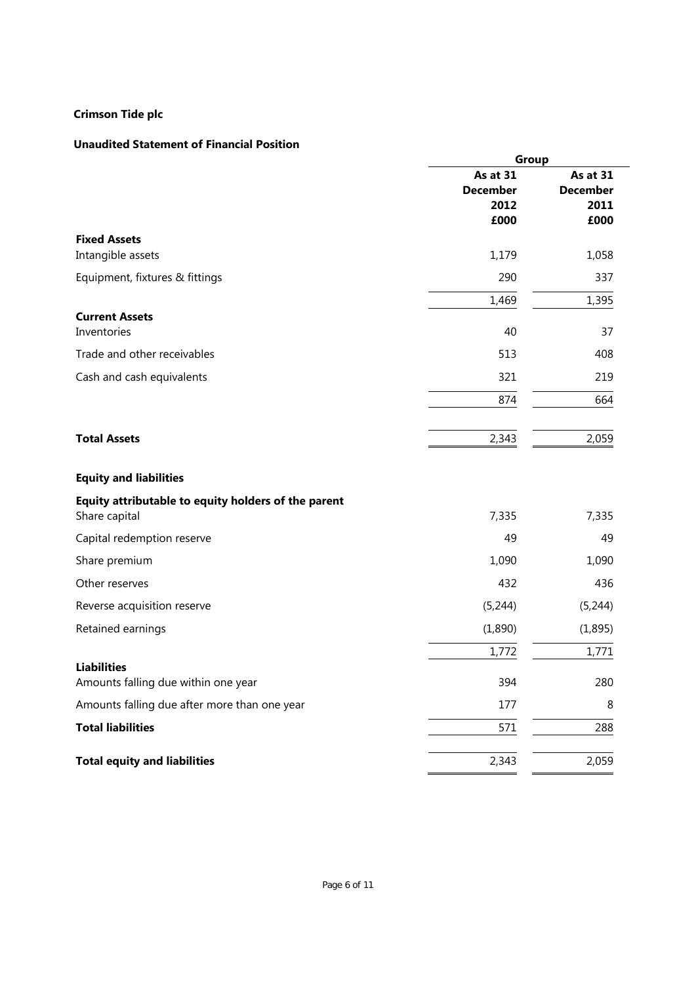# **Unaudited Statement of Financial Position**

|                                                     | Group                                       |                                             |
|-----------------------------------------------------|---------------------------------------------|---------------------------------------------|
|                                                     | As at 31<br><b>December</b><br>2012<br>£000 | As at 31<br><b>December</b><br>2011<br>£000 |
| <b>Fixed Assets</b>                                 |                                             |                                             |
| Intangible assets                                   | 1,179                                       | 1,058                                       |
| Equipment, fixtures & fittings                      | 290                                         | 337                                         |
|                                                     | 1,469                                       | 1,395                                       |
| <b>Current Assets</b><br>Inventories                | 40                                          | 37                                          |
| Trade and other receivables                         | 513                                         | 408                                         |
| Cash and cash equivalents                           | 321                                         | 219                                         |
|                                                     | 874                                         | 664                                         |
| <b>Total Assets</b>                                 | 2,343                                       | 2,059                                       |
| <b>Equity and liabilities</b>                       |                                             |                                             |
| Equity attributable to equity holders of the parent |                                             |                                             |
| Share capital                                       | 7,335                                       | 7,335                                       |
| Capital redemption reserve                          | 49                                          | 49                                          |
| Share premium                                       | 1,090                                       | 1,090                                       |
| Other reserves                                      | 432                                         | 436                                         |
| Reverse acquisition reserve                         | (5, 244)                                    | (5, 244)                                    |
| Retained earnings                                   | (1,890)                                     | (1, 895)                                    |
|                                                     | 1,772                                       | 1,771                                       |
| <b>Liabilities</b>                                  |                                             |                                             |
| Amounts falling due within one year                 | 394                                         | 280                                         |
| Amounts falling due after more than one year        | 177                                         | 8                                           |
| <b>Total liabilities</b>                            | 571                                         | 288                                         |
| <b>Total equity and liabilities</b>                 | 2,343                                       | 2,059                                       |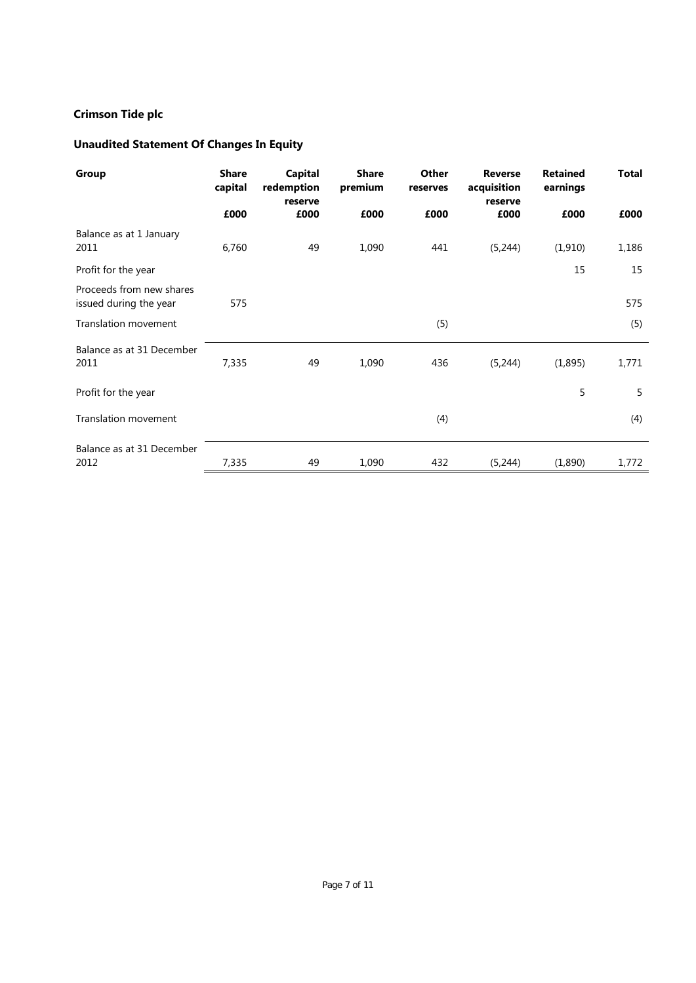# **Unaudited Statement Of Changes In Equity**

| Group                                              | <b>Share</b><br>capital | <b>Capital</b><br>redemption<br>reserve | <b>Share</b><br>premium | Other<br>reserves | <b>Reverse</b><br>acquisition<br>reserve | <b>Retained</b><br>earnings | <b>Total</b> |
|----------------------------------------------------|-------------------------|-----------------------------------------|-------------------------|-------------------|------------------------------------------|-----------------------------|--------------|
|                                                    | £000                    | £000                                    | £000                    | £000              | £000                                     | £000                        | £000         |
| Balance as at 1 January<br>2011                    | 6,760                   | 49                                      | 1,090                   | 441               | (5,244)                                  | (1, 910)                    | 1,186        |
| Profit for the year                                |                         |                                         |                         |                   |                                          | 15                          | 15           |
| Proceeds from new shares<br>issued during the year | 575                     |                                         |                         |                   |                                          |                             | 575          |
| <b>Translation movement</b>                        |                         |                                         |                         | (5)               |                                          |                             | (5)          |
| Balance as at 31 December<br>2011                  | 7,335                   | 49                                      | 1,090                   | 436               | (5,244)                                  | (1,895)                     | 1,771        |
| Profit for the year                                |                         |                                         |                         |                   |                                          | 5                           | 5            |
| <b>Translation movement</b>                        |                         |                                         |                         | (4)               |                                          |                             | (4)          |
| Balance as at 31 December<br>2012                  | 7,335                   | 49                                      | 1,090                   | 432               | (5,244)                                  | (1,890)                     | 1,772        |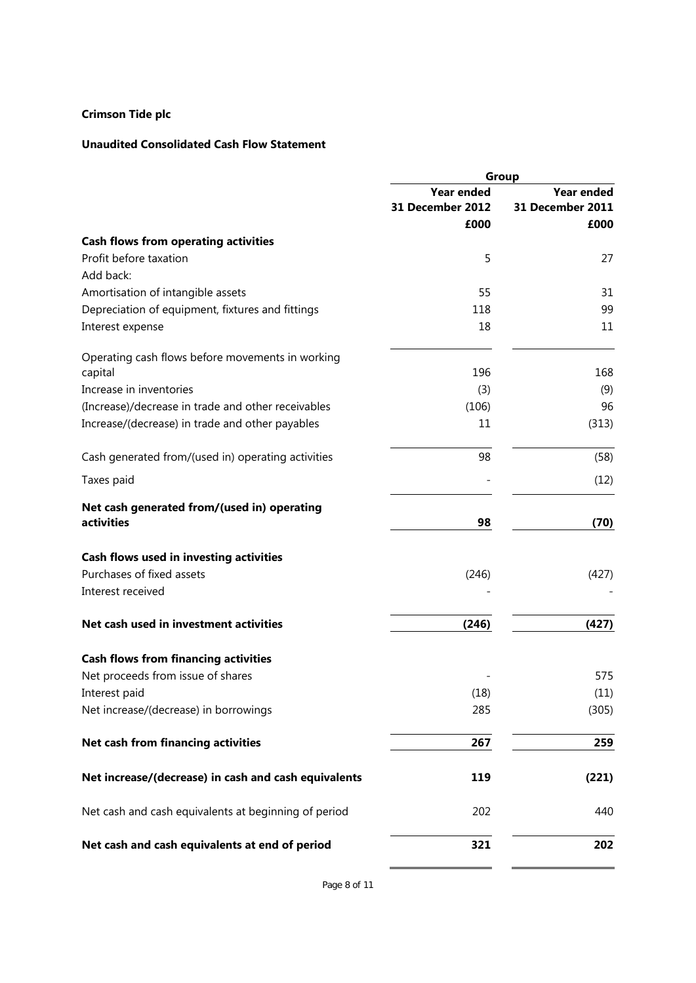### **Unaudited Consolidated Cash Flow Statement**

|                                                      | Group             |                   |  |
|------------------------------------------------------|-------------------|-------------------|--|
|                                                      | <b>Year ended</b> | <b>Year ended</b> |  |
|                                                      | 31 December 2012  | 31 December 2011  |  |
|                                                      | £000              | £000              |  |
| <b>Cash flows from operating activities</b>          |                   |                   |  |
| Profit before taxation                               | 5                 | 27                |  |
| Add back:                                            |                   |                   |  |
| Amortisation of intangible assets                    | 55                | 31                |  |
| Depreciation of equipment, fixtures and fittings     | 118               | 99                |  |
| Interest expense                                     | 18                | 11                |  |
| Operating cash flows before movements in working     |                   |                   |  |
| capital                                              | 196               | 168               |  |
| Increase in inventories                              | (3)               | (9)               |  |
| (Increase)/decrease in trade and other receivables   | (106)             | 96                |  |
| Increase/(decrease) in trade and other payables      | 11                | (313)             |  |
| Cash generated from/(used in) operating activities   | 98                | (58)              |  |
| Taxes paid                                           |                   | (12)              |  |
| Net cash generated from/(used in) operating          |                   |                   |  |
| activities                                           | 98                | (70)              |  |
| Cash flows used in investing activities              |                   |                   |  |
| Purchases of fixed assets                            | (246)             | (427)             |  |
| Interest received                                    |                   |                   |  |
| Net cash used in investment activities               | (246)             | (427)             |  |
| <b>Cash flows from financing activities</b>          |                   |                   |  |
| Net proceeds from issue of shares                    |                   | 575               |  |
| Interest paid                                        | (18)              | (11)              |  |
| Net increase/(decrease) in borrowings                | 285               | (305)             |  |
| Net cash from financing activities                   | 267               | 259               |  |
|                                                      |                   |                   |  |
| Net increase/(decrease) in cash and cash equivalents | 119               | (221)             |  |
| Net cash and cash equivalents at beginning of period | 202               | 440               |  |
| Net cash and cash equivalents at end of period       | 321               | 202               |  |
|                                                      |                   |                   |  |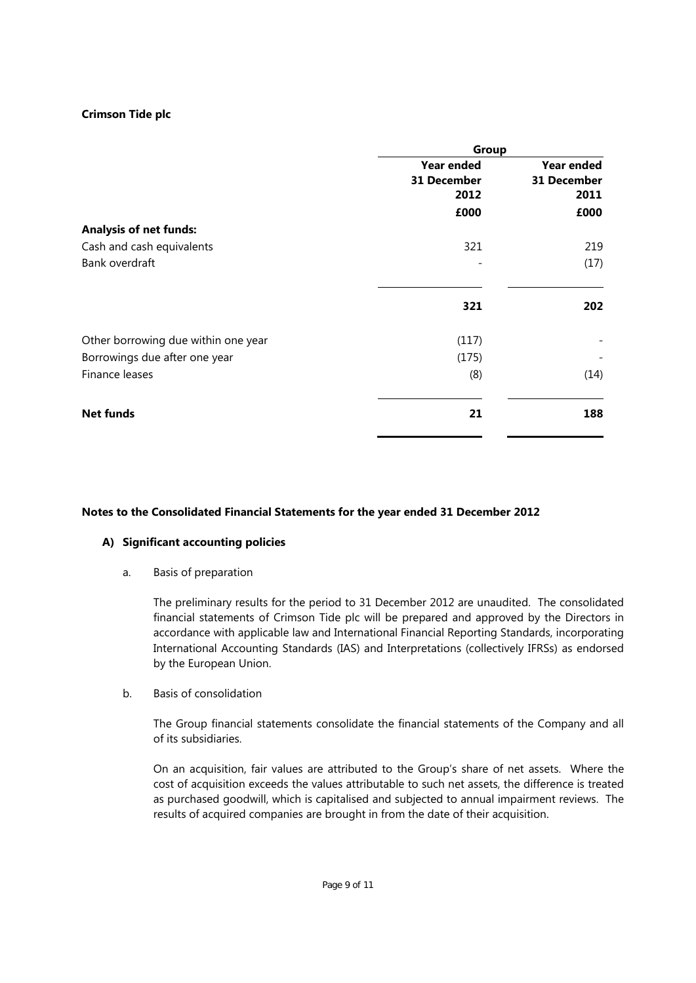| Group             |             |  |
|-------------------|-------------|--|
| <b>Year ended</b> | Year ended  |  |
| 31 December       | 31 December |  |
| 2012              | 2011        |  |
| £000              | £000        |  |
|                   |             |  |
| 321               | 219         |  |
|                   | (17)        |  |
| 321               | 202         |  |
| (117)             |             |  |
| (175)             |             |  |
| (8)               | (14)        |  |
| 21                | 188         |  |
|                   |             |  |

### **Notes to the Consolidated Financial Statements for the year ended 31 December 2012**

### **A) Significant accounting policies**

a. Basis of preparation

The preliminary results for the period to 31 December 2012 are unaudited. The consolidated financial statements of Crimson Tide plc will be prepared and approved by the Directors in accordance with applicable law and International Financial Reporting Standards, incorporating International Accounting Standards (IAS) and Interpretations (collectively IFRSs) as endorsed by the European Union.

b. Basis of consolidation

The Group financial statements consolidate the financial statements of the Company and all of its subsidiaries.

On an acquisition, fair values are attributed to the Group's share of net assets. Where the cost of acquisition exceeds the values attributable to such net assets, the difference is treated as purchased goodwill, which is capitalised and subjected to annual impairment reviews. The results of acquired companies are brought in from the date of their acquisition.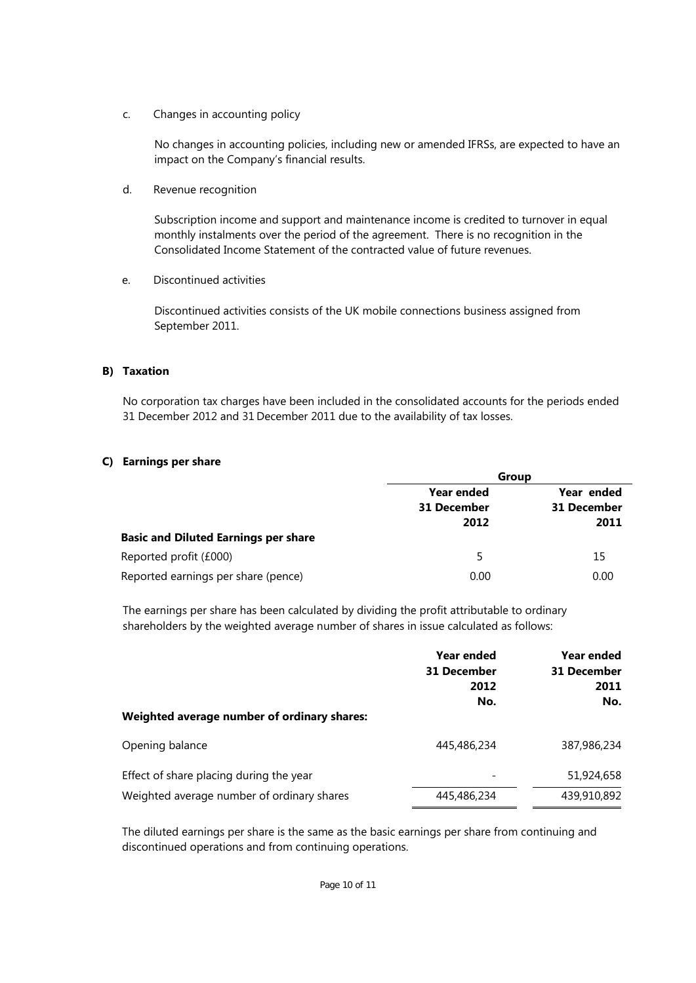c. Changes in accounting policy

No changes in accounting policies, including new or amended IFRSs, are expected to have an impact on the Company's financial results.

d. Revenue recognition

Subscription income and support and maintenance income is credited to turnover in equal monthly instalments over the period of the agreement. There is no recognition in the Consolidated Income Statement of the contracted value of future revenues.

e. Discontinued activities

Discontinued activities consists of the UK mobile connections business assigned from September 2011.

### **B) Taxation**

No corporation tax charges have been included in the consolidated accounts for the periods ended 31 December 2012 and 31 December 2011 due to the availability of tax losses.

### **C) Earnings per share**

|                                             | Group                                   |                           |  |
|---------------------------------------------|-----------------------------------------|---------------------------|--|
|                                             | <b>Year ended</b><br><b>31 December</b> | Year ended<br>31 December |  |
|                                             | 2012                                    | 2011                      |  |
| <b>Basic and Diluted Earnings per share</b> |                                         |                           |  |
| Reported profit (£000)                      | 5                                       | 15                        |  |
| Reported earnings per share (pence)         | 0.00                                    | 0.00                      |  |

The earnings per share has been calculated by dividing the profit attributable to ordinary shareholders by the weighted average number of shares in issue calculated as follows:

| Weighted average number of ordinary shares: | Year ended<br><b>31 December</b><br>2012<br>No. | Year ended<br>31 December<br>2011<br>No. |
|---------------------------------------------|-------------------------------------------------|------------------------------------------|
| Opening balance                             | 445,486,234                                     | 387,986,234                              |
| Effect of share placing during the year     | $\overline{\phantom{0}}$                        | 51,924,658                               |
| Weighted average number of ordinary shares  | 445,486,234                                     | 439,910,892                              |

The diluted earnings per share is the same as the basic earnings per share from continuing and discontinued operations and from continuing operations.